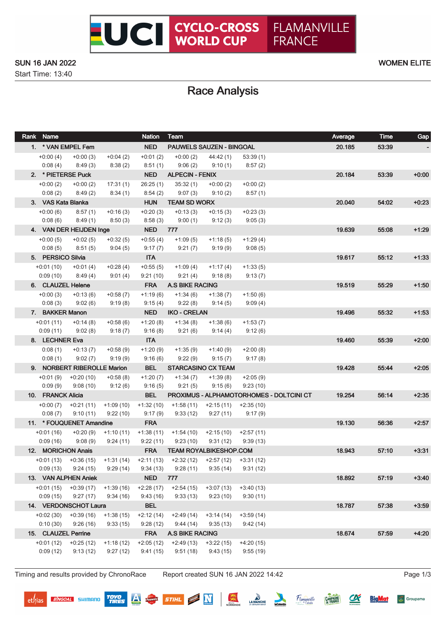### SUN 16 JAN 2022 WOMEN ELITE

Start Time: 13:40

# Race Analysis

| Rank Name                        |                                     |                       | <b>Nation</b>             | Team                                                        |                         |                         | Average | <b>Time</b> | Gap     |
|----------------------------------|-------------------------------------|-----------------------|---------------------------|-------------------------------------------------------------|-------------------------|-------------------------|---------|-------------|---------|
| 1. * VAN EMPEL Fem               |                                     |                       | NED                       | <b>PAUWELS SAUZEN - BINGOAL</b>                             |                         |                         | 20.185  | 53:39       |         |
| $+0:00(4)$                       | $+0:00(3)$                          | $+0:04(2)$            | $+0:01(2)$                | $+0:00(2)$                                                  | 44:42 (1)               | 53:39(1)                |         |             |         |
| 0:08(4)                          | 8:49(3)                             | 8:38(2)               | 8:51(1)                   | 9:06(2)                                                     | 9:10(1)                 | 8:57(2)                 |         |             |         |
| 2. * PIETERSE Puck               |                                     |                       |                           | NED ALPECIN - FENIX                                         |                         |                         | 20.184  | 53:39       | $+0:00$ |
| $+0:00(2)$                       | $+0:00(2)$                          | 17:31(1)              | 26:25(1)                  | 35:32(1)                                                    | $+0:00(2)$              | $+0:00(2)$              |         |             |         |
| 0:08(2)                          | 8:49(2)                             | 8:34(1)               | 8:54(2)                   | 9:07(3)                                                     | 9:10(2)                 | 8:57(1)                 |         |             |         |
| 3. VAS Kata Blanka<br>$+0.00(6)$ |                                     | $+0:16(3)$            | <b>HUN</b>                | <b>TEAM SD WORX</b>                                         |                         |                         | 20.040  | 54:02       | $+0:23$ |
| 0:08(6)                          | 8:57(1)<br>8:49(1)                  | 8:50(3)               | $+0:20(3)$<br>8:58(3)     | $+0:13(3)$<br>9:00(1)                                       | $+0:15(3)$<br>9:12(3)   | $+0:23(3)$<br>9:05(3)   |         |             |         |
|                                  | 4. VAN DER HEIJDEN Inge             |                       | <b>NED</b> 777            |                                                             |                         |                         | 19.639  | 55:08       | $+1:29$ |
| $+0:00(5)$                       | $+0:02(5)$                          | $+0:32(5)$            | $+0.55(4)$                | $+1:09(5)$                                                  | $+1:18(5)$              | $+1:29(4)$              |         |             |         |
| 0:08(5)                          | 8:51(5)                             | 9:04(5)               | 9:17(7)                   | 9:21(7)                                                     | 9:19(9)                 | 9:08(5)                 |         |             |         |
| 5. PERSICO Silvia                |                                     |                       | <b>ITA</b>                |                                                             |                         |                         | 19.617  | 55:12       | $+1:33$ |
| $+0:01(10)$                      | $+0:01(4)$                          | $+0.28(4)$            | $+0.55(5)$                | +1:09 (4)                                                   | $+1:17(4)$              | $+1:33(5)$              |         |             |         |
| 0:09(10)                         | 8:49(4)                             | 9:01(4)               | 9:21(10)                  | 9:21(4)                                                     | 9:18(8)                 | 9:13(7)                 |         |             |         |
| 6. CLAUZEL Helene                |                                     |                       | <b>FRA</b>                | <b>A.S BIKE RACING</b>                                      |                         |                         | 19.519  | 55:29       | $+1:50$ |
| $+0:00(3)$                       | $+0:13(6)$                          | $+0.58(7)$            | $+1:19(6)$                | $+1:34(6)$                                                  | $+1:38(7)$              | $+1:50(6)$              |         |             |         |
| 0:08(3)                          | 9:02(6)                             | 9:19(8)               | 9:15(4)                   | 9:22(8)                                                     | 9:14(5)                 | 9:09(4)                 |         |             |         |
| 7. BAKKER Manon                  |                                     |                       | <b>NED</b>                | <b>IKO - CRELAN</b>                                         |                         |                         | 19.496  | 55:32       | $+1:53$ |
| $+0:01(11)$                      | $+0:14(8)$                          | $+0.58(6)$            | $+1:20(8)$                | +1:34 (8)                                                   | $+1:38(6)$              | $+1:53(7)$              |         |             |         |
| 0:09(11)                         | 9:02(8)                             | 9:18(7)               | 9:16(8)                   | 9:21(6)                                                     | 9:14(4)                 | 9:12(6)                 |         |             |         |
| 8. LECHNER Eva                   |                                     |                       | <b>ITA</b>                |                                                             |                         |                         | 19.460  | 55:39       | $+2:00$ |
| 0:08(1)<br>0:08(1)               | $+0:13(7)$<br>9:02(7)               | $+0.58(9)$<br>9:19(9) | $+1:20(9)$<br>9:16(6)     | +1:35 (9)<br>9:22(9)                                        | $+1:40(9)$<br>9:15(7)   | $+2:00(8)$<br>9:17(8)   |         |             |         |
|                                  | 9. NORBERT RIBEROLLE Marion         |                       | <b>BEL</b>                | <b>STARCASINO CX TEAM</b>                                   |                         |                         | 19.428  | 55:44       | $+2:05$ |
|                                  | $+0:01(9)$ $+0:20(10)$              | $+0.58(8)$            | $+1:20(7)$                | $+1:34(7)$                                                  | $+1:39(8)$              | $+2:05(9)$              |         |             |         |
| 0:09(9)                          | 9:08 (10)                           | 9:12(6)               | 9:16(5)                   | 9:21(5)                                                     | 9:15(6)                 | 9:23(10)                |         |             |         |
| 10. FRANCK Alicia                |                                     |                       | <b>BEL</b>                | PROXIMUS - ALPHAMOTORHOMES - DOLTCINI CT                    |                         |                         | 19.254  | 56:14       | $+2:35$ |
|                                  | $+0.00(7)$ $+0.21(11)$              | $+1:09(10)$           | $+1:32(10)$               | $+1:58(11)$                                                 | +2:15 (11)              | $+2:35(10)$             |         |             |         |
| 0:08(7)                          | 9:10(11)                            | 9:22 (10)             | 9:17(9)                   | 9:33 (12)                                                   | 9:27 (11)               | 9:17(9)                 |         |             |         |
|                                  | 11. * FOUQUENET Amandine            |                       | <b>FRA</b>                |                                                             |                         |                         | 19.130  | 56:36       | $+2:57$ |
| $+0:01(16)$                      | $+0:20(9)$                          | $+1:10(11)$           | $+1:38(11)$               | +1:54 (10)                                                  | $+2:15(10)$ $+2:57(11)$ |                         |         |             |         |
| 0:09(16)                         | 9:08(9)                             | 9:24(11)              | 9:22(11)                  | 9:23(10)                                                    | 9:31 (12)               | 9:39(13)                |         |             |         |
| 12. MORICHON Anais               |                                     |                       | <b>FRA</b>                | <b>TEAM ROYALBIKESHOP.COM</b>                               |                         |                         | 18.943  | 57:10       | $+3:31$ |
|                                  | $+0.01(13)$ $+0.36(15)$             |                       |                           | $+1:31(14)$ $+2:11(13)$ $+2:32(12)$ $+2:57(12)$ $+3:31(12)$ |                         |                         |         |             |         |
| 0:09(13)                         | 9:24(15)                            | 9:29(14)              | 9:34(13)                  | 9:28(11)                                                    | 9:35(14)                | 9:31(12)                |         |             |         |
|                                  | 13. VAN ALPHEN Aniek<br>$+0:39(17)$ | $+1:39(16)$           | <b>NED</b><br>$+2:28(17)$ | 777                                                         |                         |                         | 18.892  | 57:19       | $+3:40$ |
| +0:01 (15)<br>0:09(15)           | 9:27(17)                            | 9:34(16)              | 9:43(16)                  | $+2:54(15)$<br>9:33(13)                                     | $+3:07(13)$<br>9:23(10) | $+3:40(13)$<br>9:30(11) |         |             |         |
| 14. VERDONSCHOT Laura            |                                     |                       | <b>BEL</b>                |                                                             |                         |                         | 18.787  | 57:38       | $+3:59$ |
| $+0.02(30)$                      | $+0.39(16)$                         | $+1:38(15)$           | $+2:12(14)$               | $+2:49(14)$                                                 | $+3:14(14)$             | $+3:59(14)$             |         |             |         |
| 0:10(30)                         | 9:26(16)                            | 9:33(15)              | 9:28(12)                  | 9:44(14)                                                    | 9:35(13)                | 9:42(14)                |         |             |         |
| 15. CLAUZEL Perrine              |                                     |                       | <b>FRA</b>                | <b>A.S BIKE RACING</b>                                      |                         |                         | 18.674  | 57:59       | $+4:20$ |
| $+0:01(12)$                      | $+0:25(12)$                         | $+1:18(12)$           | $+2:05(12)$               | $+2:49(13)$                                                 | $+3:22(15)$             | $+4:20(15)$             |         |             |         |
| 0:09(12)                         | 9:13(12)                            | 9:27(12)              | 9:41(15)                  | 9:51(18)                                                    | 9:43(15)                | 9:55(19)                |         |             |         |
|                                  |                                     |                       |                           |                                                             |                         |                         |         |             |         |

Timing and results provided by ChronoRace Report created SUN 16 JAN 2022 14:42 Page 1/3

**BINGOAL** SHIMANO

**TOYO**<br>TIRES

 $P<sub>3</sub>$ 

深

STIHL **N** 

LA MANCHE

Hamanville

 $\alpha$ 

**CAMPAGNE** 

**BigMat** 

Groupama

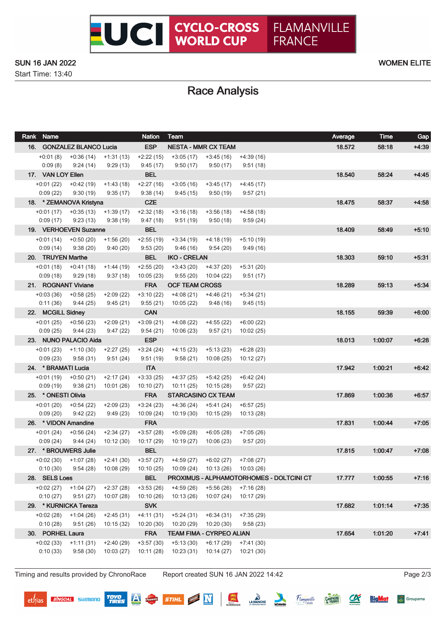Start Time: 13:40

# Race Analysis

| Rank Name           |                                              |                         | <b>Nation</b>           | Team                                            |                                    |                        |                                          | Average | <b>Time</b> | Gap     |
|---------------------|----------------------------------------------|-------------------------|-------------------------|-------------------------------------------------|------------------------------------|------------------------|------------------------------------------|---------|-------------|---------|
|                     | 16. GONZALEZ BLANCO Lucia                    |                         | <b>ESP</b>              |                                                 | <b>NESTA - MMR CX TEAM</b>         |                        |                                          | 18.572  | 58:18       | $+4:39$ |
|                     | $+0.01(8)$ $+0.36(14)$ $+1.31(13)$           |                         | $+2:22(15)$             |                                                 | $+3:05(17)$ $+3:45(16)$            | $+4:39(16)$            |                                          |         |             |         |
| 0:09(8)             | 9:24(14)                                     | 9:29(13)                | 9:45(17)                | 9:50(17)                                        | 9:50(17)                           | 9:51(18)               |                                          |         |             |         |
| 17. VAN LOY Ellen   |                                              |                         | <b>BEL</b>              |                                                 |                                    |                        |                                          | 18.540  | 58:24       | $+4.45$ |
|                     | $+0.01(22)$ $+0.42(19)$ $+1.43(18)$          |                         | +2:27 (16)              | $+3:05(16)$                                     | $+3:45(17)$                        | $+4:45(17)$            |                                          |         |             |         |
| 0:09(22)            | 9:30(19)                                     | 9:35(17)                | 9:38(14)                | 9:45(15)                                        | 9:50 (19)                          | 9:57(21)               |                                          |         |             |         |
|                     | 18. * ZEMANOVA Kristyna                      |                         | <b>CZE</b>              |                                                 |                                    |                        |                                          | 18.475  | 58:37       | $+4:58$ |
|                     | $+0.01(17)$ $+0.35(13)$ $+1.39(17)$          |                         | $+2:32(18)$             | $+3:16(18)$                                     | $+3:56(18)$                        | $+4:58(18)$            |                                          |         |             |         |
|                     | $0:09(17)$ $9:23(13)$                        | 9:38 (19)               | 9:47(18)                | 9:51 (19)                                       | 9:50 (18)                          | 9:59(24)               |                                          |         |             |         |
|                     | 19. VERHOEVEN Suzanne                        |                         | <b>BEL</b>              |                                                 |                                    |                        |                                          | 18.409  | 58:49       | $+5:10$ |
|                     | $+0:01(14)$ $+0:50(20)$                      | $+1:56(20)$             | $+2:55(19)$             | $+3:34(19)$                                     | +4:18 (19)                         | $+5:10(19)$            |                                          |         |             |         |
| 0:09(14)            | 9:38(20)                                     | 9:40(20)                | 9:53(20)                | 9:46 (16)                                       | 9:54 (20)                          | 9:49(16)               |                                          |         |             |         |
| 20. TRUYEN Marthe   |                                              |                         | <b>BEL</b>              | <b>IKO - CRELAN</b>                             |                                    |                        |                                          | 18.303  | 59:10       | $+5:31$ |
|                     | $+0.01(18)$ $+0.41(18)$                      | $+1:44(19)$             | $+2:55(20)$             |                                                 | $+3:43(20)$ $+4:37(20)$            | $+5:31(20)$            |                                          |         |             |         |
|                     | $0:09(18)$ $9:29(18)$<br>21. ROGNANT Viviane | 9:37(18)                | 10:05(23)<br><b>FRA</b> | 9:55(20)<br><b>OCF TEAM CROSS</b>               | 10:04 (22)                         | 9:51(17)               |                                          | 18.289  | 59:13       | $+5.34$ |
|                     |                                              |                         |                         |                                                 |                                    |                        |                                          |         |             |         |
| 0:11(36)            | $+0.03(36)$ $+0.58(25)$<br>9:44 (25)         | $+2:09(22)$<br>9:45(21) | $+3:10(22)$<br>9:55(21) | +4:08 (21)<br>10:05 (22)                        | +4:46 (21)<br>9:48 (16)            | +5:34 (21)<br>9:45(15) |                                          |         |             |         |
| 22. MCGILL Sidney   |                                              |                         | <b>CAN</b>              |                                                 |                                    |                        |                                          | 18.155  | 59.39       | $+6:00$ |
| $+0:01(25)$         | $+0.56(23)$                                  | $+2:09(21)$             | $+3:09(21)$             | $+4:08(22)$                                     | $+4:55(22)$                        | $+6:00(22)$            |                                          |         |             |         |
| 0:09(25)            | 9:44(23)                                     | 9:47(22)                | 9:54(21)                | 10:06 (23)                                      | 9:57(21)                           | 10:02 (25)             |                                          |         |             |         |
|                     | 23. NUNO PALACIO Aida                        |                         | <b>ESP</b>              |                                                 |                                    |                        |                                          | 18.013  | 1:00:07     | $+6:28$ |
|                     | $+0:01(23)$ $+1:10(30)$                      | $+2:27(25)$             | $+3:24(24)$             | +4:15 (23)                                      | +5:13 (23)                         | $+6:28(23)$            |                                          |         |             |         |
| 0:09(23)            | 9:58(31)                                     | 9:51(24)                | 9:51(19)                | 9:58 (21)                                       | 10:08 (25)                         | 10:12 (27)             |                                          |         |             |         |
| 24. * BRAMATI Lucia |                                              |                         | <b>ITA</b>              |                                                 |                                    |                        |                                          | 17.942  | 1:00:21     | $+6.42$ |
|                     | $+0.01(19)$ $+0.50(21)$                      | $+2:17(24)$             | $+3:33(25)$             | +4:37 (25)                                      | +5:42 (25)                         | +6:42 (24)             |                                          |         |             |         |
| 0:09(19)            | 9:38(21)                                     | 10:01 (26)              | 10:10 (27)              | 10:11 (25)                                      | 10:15 (28)                         | 9:57(22)               |                                          |         |             |         |
| 25. * ONESTI Olivia |                                              |                         | <b>FRA</b>              |                                                 | <b>STARCASINO CX TEAM</b>          |                        |                                          | 17.869  | 1:00:36     | $+6:57$ |
| +0:01 (20)          | $+0:54(22)$                                  | $+2:09(23)$             | $+3:24(23)$             | +4:36 (24)                                      | +5:41 (24)                         | $+6:57(25)$            |                                          |         |             |         |
| 0:09(20)            | 9:42(22)                                     | 9:49(23)                | 10:09(24)               | 10:19 (30)                                      | 10:15 (29)                         | 10:13 (28)             |                                          |         |             |         |
|                     | 26. * VIDON Amandine                         |                         | <b>FRA</b>              |                                                 |                                    |                        |                                          | 17.831  | 1.00.44     | $+7:05$ |
| $+0:01(24)$         | $+0:56(24)$                                  | $+2:34(27)$             | $+3:57(28)$             | $+5:09(28)$                                     | $+6:05(28)$                        | $+7:05(26)$            |                                          |         |             |         |
| 0:09(24)            | 9:44(24)                                     | 10:12 (30)              | 10:17(29)               | 10:19(27)                                       | 10:06 (23)                         | 9:57(20)               |                                          |         |             |         |
|                     | 27. * BROUWERS Julie                         |                         | <b>BEL</b>              |                                                 |                                    |                        |                                          | 17.815  | 1:00:47     | $+7:08$ |
|                     | $+0.02(30)$ $+1.07(28)$                      | +2:41 (30)              |                         | $+3:57(27)$ $+4:59(27)$ $+6:02(27)$ $+7:08(27)$ |                                    |                        |                                          |         |             |         |
| 0:10(30)            | 9:54(28)                                     | 10:08 (29)              | 10:10 (25)              |                                                 | 10:09 (24)  10:13 (26)  10:03 (26) |                        |                                          |         |             |         |
| 28. SELS Loes       |                                              |                         | <b>BEL</b>              |                                                 |                                    |                        | PROXIMUS - ALPHAMOTORHOMES - DOLTCINI CT | 17.777  | 1:00:55     | $+7:16$ |
| $+0:02(27)$         | $+1:04(27)$                                  | $+2:37(28)$             | $+3:53(26)$             | $+4:59(26)$                                     | $+5:56(26)$                        | $+7:16(28)$            |                                          |         |             |         |
| 0:10(27)            | 9:51(27)                                     | 10:07(28)               | 10:10 (26)              | 10:13(26)                                       | 10:07(24)                          | 10:17 (29)             |                                          |         |             |         |
|                     | 29. * KURNICKA Tereza                        |                         | <b>SVK</b>              |                                                 |                                    |                        |                                          | 17.682  | 1.01.14     | $+7:35$ |
| $+0.02(28)$         | $+1:04(26)$                                  | $+2:45(31)$             | $+4:11(31)$             | $+5:24(31)$                                     | $+6:34(31)$                        | $+7:35(29)$            |                                          |         |             |         |
| 0:10(28)            | 9:51(26)                                     | 10:15(32)               | 10:20(30)               | 10:20(29)                                       | 10:20(30)                          | 9:58(23)               |                                          |         |             |         |
| 30. PORHEL Laura    |                                              |                         | <b>FRA</b>              |                                                 | <b>TEAM FIMA - CYRPEO ALIAN</b>    |                        |                                          | 17.654  | 1:01:20     | $+7:41$ |
| $+0.02(33)$         | $+1:11(31)$                                  | $+2:40(29)$             | $+3:57(30)$             | $+5:13(30)$                                     | $+6:17(29)$                        | $+7:41(30)$            |                                          |         |             |         |
| 0:10(33)            | 9:58(30)                                     | 10:03(27)               | 10:11(28)               | 10:23(31)                                       | 10:14(27)                          | 10:21 (30)             |                                          |         |             |         |

Timing and results provided by ChronoRace Report created SUN 16 JAN 2022 14:42 Page 2/3

**BINGOAL** SHIMANO

**TOYO**<br>TIRES

Pauwels

深

STIHL **N** 

LA MANCHE

Hamanville

 $\alpha$ 

**BigMat** 

**CAMPAGNE** 

Groupama